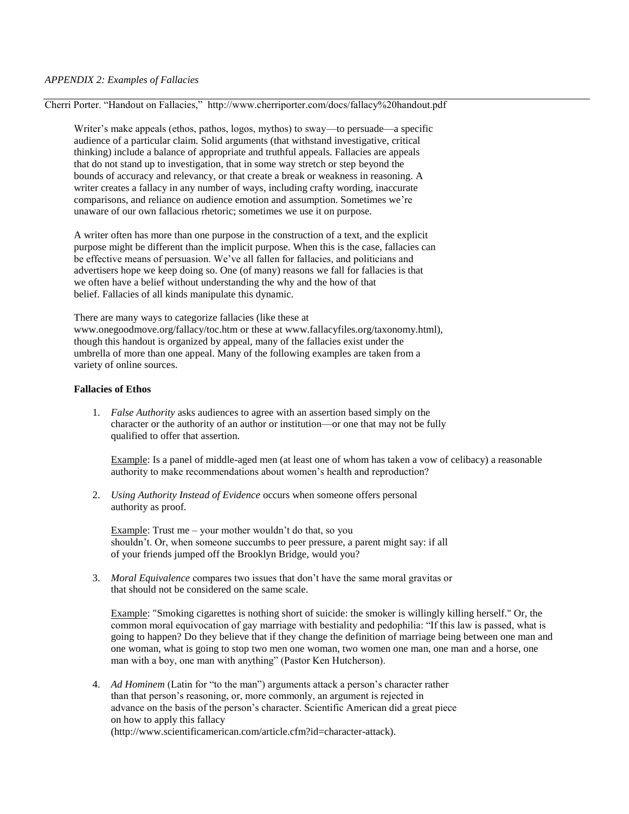Cherri Porter. "Handout on Fallacies," http://www.cherriporter.com/docs/fallacy%20handout.pdf

Writer's make appeals (ethos, pathos, logos, mythos) to sway—to persuade—a specific audience of a particular claim. Solid arguments (that withstand investigative, critical thinking) include a balance of appropriate and truthful appeals. Fallacies are appeals that do not stand up to investigation, that in some way stretch or step beyond the bounds of accuracy and relevancy, or that create a break or weakness in reasoning. A writer creates a fallacy in any number of ways, including crafty wording, inaccurate comparisons, and reliance on audience emotion and assumption. Sometimes we're unaware of our own fallacious rhetoric; sometimes we use it on purpose.

A writer often has more than one purpose in the construction of a text, and the explicit purpose might be different than the implicit purpose. When this is the case, fallacies can be effective means of persuasion. We've all fallen for fallacies, and politicians and advertisers hope we keep doing so. One (of many) reasons we fall for fallacies is that we often have a belief without understanding the why and the how of that belief. Fallacies of all kinds manipulate this dynamic.

There are many ways to categorize fallacies (like these at www.onegoodmove.org/fallacy/toc.htm or these at www.fallacyfiles.org/taxonomy.html), though this handout is organized by appeal, many of the fallacies exist under the umbrella of more than one appeal. Many of the following examples are taken from a variety of online sources.

## **Fallacies of Ethos**

1. *False Authority* asks audiences to agree with an assertion based simply on the character or the authority of an author or institution—or one that may not be fully qualified to offer that assertion.

Example: Is a panel of middle-aged men (at least one of whom has taken a vow of celibacy) a reasonable authority to make recommendations about women's health and reproduction?

2. *Using Authority Instead of Evidence* occurs when someone offers personal authority as proof.

Example: Trust me – your mother wouldn't do that, so you shouldn't. Or, when someone succumbs to peer pressure, a parent might say: if all of your friends jumped off the Brooklyn Bridge, would you?

3. *Moral Equivalence* compares two issues that don't have the same moral gravitas or that should not be considered on the same scale.

Example: "Smoking cigarettes is nothing short of suicide: the smoker is willingly killing herself." Or, the common moral equivocation of gay marriage with bestiality and pedophilia: "If this law is passed, what is going to happen? Do they believe that if they change the definition of marriage being between one man and one woman, what is going to stop two men one woman, two women one man, one man and a horse, one man with a boy, one man with anything" (Pastor Ken Hutcherson).

4. *Ad Hominem* (Latin for "to the man") arguments attack a person's character rather than that person's reasoning, or, more commonly, an argument is rejected in advance on the basis of the person's character. Scientific American did a great piece on how to apply this fallacy (http://www.scientificamerican.com/article.cfm?id=character-attack).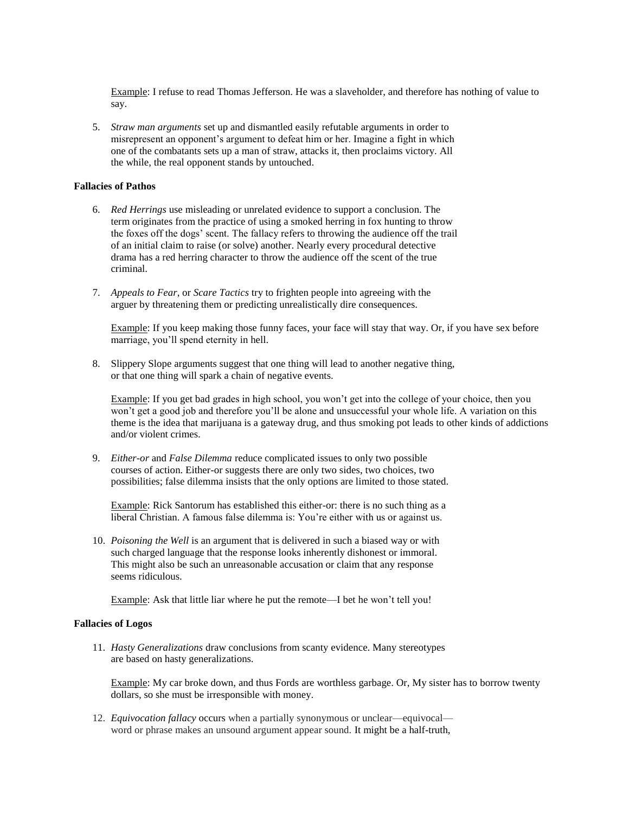Example: I refuse to read Thomas Jefferson. He was a slaveholder, and therefore has nothing of value to say.

5. *Straw man arguments* set up and dismantled easily refutable arguments in order to misrepresent an opponent's argument to defeat him or her. Imagine a fight in which one of the combatants sets up a man of straw, attacks it, then proclaims victory. All the while, the real opponent stands by untouched.

## **Fallacies of Pathos**

- 6. *Red Herrings* use misleading or unrelated evidence to support a conclusion. The term originates from the practice of using a smoked herring in fox hunting to throw the foxes off the dogs' scent. The fallacy refers to throwing the audience off the trail of an initial claim to raise (or solve) another. Nearly every procedural detective drama has a red herring character to throw the audience off the scent of the true criminal.
- 7. *Appeals to Fear*, or *Scare Tactics* try to frighten people into agreeing with the arguer by threatening them or predicting unrealistically dire consequences.

Example: If you keep making those funny faces, your face will stay that way. Or, if you have sex before marriage, you'll spend eternity in hell.

8. Slippery Slope arguments suggest that one thing will lead to another negative thing, or that one thing will spark a chain of negative events.

Example: If you get bad grades in high school, you won't get into the college of your choice, then you won't get a good job and therefore you'll be alone and unsuccessful your whole life. A variation on this theme is the idea that marijuana is a gateway drug, and thus smoking pot leads to other kinds of addictions and/or violent crimes.

9. *Either-or* and *False Dilemma* reduce complicated issues to only two possible courses of action. Either-or suggests there are only two sides, two choices, two possibilities; false dilemma insists that the only options are limited to those stated.

Example: Rick Santorum has established this either-or: there is no such thing as a liberal Christian. A famous false dilemma is: You're either with us or against us.

10. *Poisoning the Well* is an argument that is delivered in such a biased way or with such charged language that the response looks inherently dishonest or immoral. This might also be such an unreasonable accusation or claim that any response seems ridiculous.

Example: Ask that little liar where he put the remote—I bet he won't tell you!

## **Fallacies of Logos**

11. *Hasty Generalizations* draw conclusions from scanty evidence. Many stereotypes are based on hasty generalizations.

Example: My car broke down, and thus Fords are worthless garbage. Or, My sister has to borrow twenty dollars, so she must be irresponsible with money.

12. *Equivocation fallacy* occurs when a partially synonymous or unclear—equivocal word or phrase makes an unsound argument appear sound. It might be a half-truth,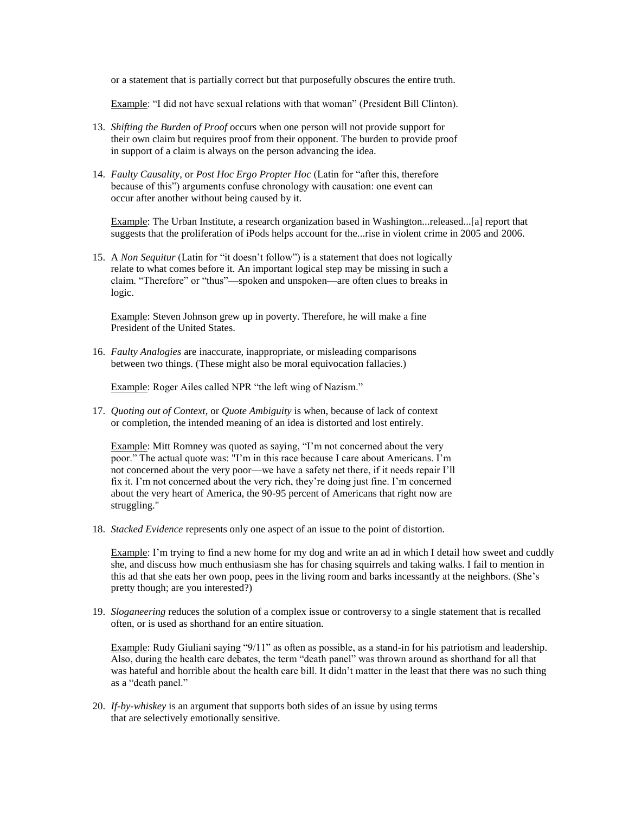or a statement that is partially correct but that purposefully obscures the entire truth.

Example: "I did not have sexual relations with that woman" (President Bill Clinton).

- 13. *Shifting the Burden of Proof* occurs when one person will not provide support for their own claim but requires proof from their opponent. The burden to provide proof in support of a claim is always on the person advancing the idea.
- 14. *Faulty Causality*, or *Post Hoc Ergo Propter Hoc* (Latin for "after this, therefore because of this") arguments confuse chronology with causation: one event can occur after another without being caused by it.

Example: The Urban Institute, a research organization based in Washington...released...[a] report that suggests that the proliferation of iPods helps account for the...rise in violent crime in 2005 and 2006.

15. A *Non Sequitur* (Latin for "it doesn't follow") is a statement that does not logically relate to what comes before it. An important logical step may be missing in such a claim. "Therefore" or "thus"—spoken and unspoken—are often clues to breaks in logic.

Example: Steven Johnson grew up in poverty. Therefore, he will make a fine President of the United States.

16. *Faulty Analogies* are inaccurate, inappropriate, or misleading comparisons between two things. (These might also be moral equivocation fallacies.)

Example: Roger Ailes called NPR "the left wing of Nazism."

17. *Quoting out of Context*, or *Quote Ambiguity* is when, because of lack of context or completion, the intended meaning of an idea is distorted and lost entirely.

Example: Mitt Romney was quoted as saying, "I'm not concerned about the very poor." The actual quote was: "I'm in this race because I care about Americans. I'm not concerned about the very poor—we have a safety net there, if it needs repair I'll fix it. I'm not concerned about the very rich, they're doing just fine. I'm concerned about the very heart of America, the 90-95 percent of Americans that right now are struggling."

18. *Stacked Evidence* represents only one aspect of an issue to the point of distortion.

Example: I'm trying to find a new home for my dog and write an ad in which I detail how sweet and cuddly she, and discuss how much enthusiasm she has for chasing squirrels and taking walks. I fail to mention in this ad that she eats her own poop, pees in the living room and barks incessantly at the neighbors. (She's pretty though; are you interested?)

19. *Sloganeering* reduces the solution of a complex issue or controversy to a single statement that is recalled often, or is used as shorthand for an entire situation.

Example: Rudy Giuliani saying "9/11" as often as possible, as a stand-in for his patriotism and leadership. Also, during the health care debates, the term "death panel" was thrown around as shorthand for all that was hateful and horrible about the health care bill. It didn't matter in the least that there was no such thing as a "death panel."

20. *If-by-whiskey* is an argument that supports both sides of an issue by using terms that are selectively emotionally sensitive.